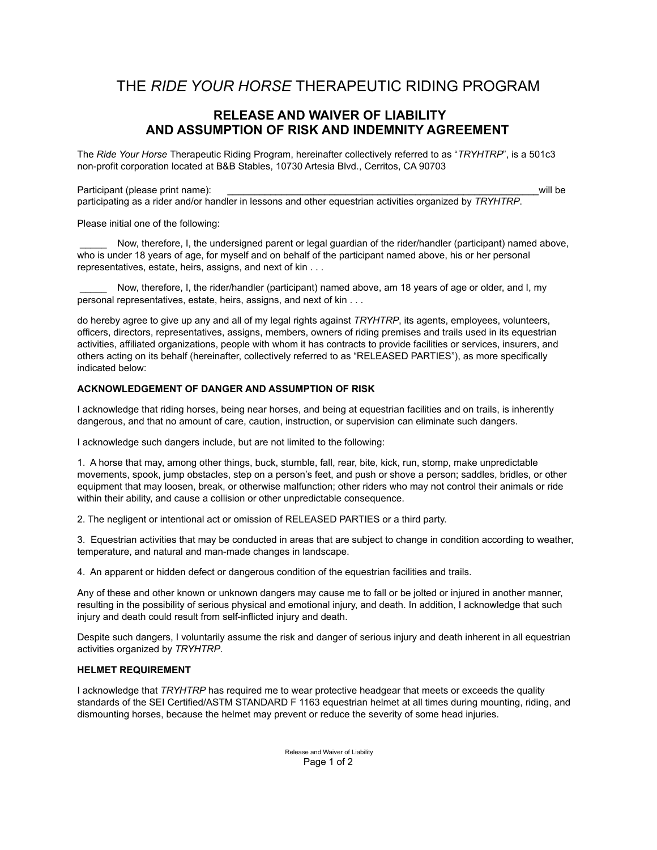# THE *RIDE YOUR HORSE* THERAPEUTIC RIDING PROGRAM

# **RELEASE AND WAIVER OF LIABILITY AND ASSUMPTION OF RISK AND INDEMNITY AGREEMENT**

The *Ride Your Horse* Therapeutic Riding Program, hereinafter collectively referred to as "*TRYHTRP*", is a 501c3 non-profit corporation located at B&B Stables, 10730 Artesia Blvd., Cerritos, CA 90703

Participant (please print name):  $\blacksquare$ 

participating as a rider and/or handler in lessons and other equestrian activities organized by *TRYHTRP*.

Please initial one of the following:

Now, therefore, I, the undersigned parent or legal guardian of the rider/handler (participant) named above, who is under 18 years of age, for myself and on behalf of the participant named above, his or her personal representatives, estate, heirs, assigns, and next of kin . . .

Now, therefore, I, the rider/handler (participant) named above, am 18 years of age or older, and I, my personal representatives, estate, heirs, assigns, and next of kin . . .

do hereby agree to give up any and all of my legal rights against *TRYHTRP*, its agents, employees, volunteers, officers, directors, representatives, assigns, members, owners of riding premises and trails used in its equestrian activities, affiliated organizations, people with whom it has contracts to provide facilities or services, insurers, and others acting on its behalf (hereinafter, collectively referred to as "RELEASED PARTIES"), as more specifically indicated below:

# **ACKNOWLEDGEMENT OF DANGER AND ASSUMPTION OF RISK**

I acknowledge that riding horses, being near horses, and being at equestrian facilities and on trails, is inherently dangerous, and that no amount of care, caution, instruction, or supervision can eliminate such dangers.

I acknowledge such dangers include, but are not limited to the following:

1. A horse that may, among other things, buck, stumble, fall, rear, bite, kick, run, stomp, make unpredictable movements, spook, jump obstacles, step on a person's feet, and push or shove a person; saddles, bridles, or other equipment that may loosen, break, or otherwise malfunction; other riders who may not control their animals or ride within their ability, and cause a collision or other unpredictable consequence.

2. The negligent or intentional act or omission of RELEASED PARTIES or a third party.

3. Equestrian activities that may be conducted in areas that are subject to change in condition according to weather, temperature, and natural and man-made changes in landscape.

4. An apparent or hidden defect or dangerous condition of the equestrian facilities and trails.

Any of these and other known or unknown dangers may cause me to fall or be jolted or injured in another manner, resulting in the possibility of serious physical and emotional injury, and death. In addition, I acknowledge that such injury and death could result from self-inflicted injury and death.

Despite such dangers, I voluntarily assume the risk and danger of serious injury and death inherent in all equestrian activities organized by *TRYHTRP*.

# **HELMET REQUIREMENT**

I acknowledge that *TRYHTRP* has required me to wear protective headgear that meets or exceeds the quality standards of the SEI Certified/ASTM STANDARD F 1163 equestrian helmet at all times during mounting, riding, and dismounting horses, because the helmet may prevent or reduce the severity of some head injuries.

> Release and Waiver of Liability Page 1 of 2